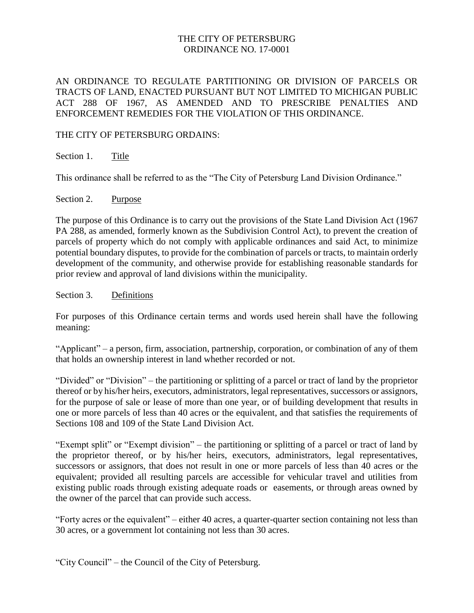### THE CITY OF PETERSBURG ORDINANCE NO. 17-0001

AN ORDINANCE TO REGULATE PARTITIONING OR DIVISION OF PARCELS OR TRACTS OF LAND, ENACTED PURSUANT BUT NOT LIMITED TO MICHIGAN PUBLIC ACT 288 OF 1967, AS AMENDED AND TO PRESCRIBE PENALTIES AND ENFORCEMENT REMEDIES FOR THE VIOLATION OF THIS ORDINANCE.

### THE CITY OF PETERSBURG ORDAINS:

Section 1. Title

This ordinance shall be referred to as the "The City of Petersburg Land Division Ordinance."

#### Section 2. Purpose

The purpose of this Ordinance is to carry out the provisions of the State Land Division Act (1967 PA 288, as amended, formerly known as the Subdivision Control Act), to prevent the creation of parcels of property which do not comply with applicable ordinances and said Act, to minimize potential boundary disputes, to provide for the combination of parcels or tracts, to maintain orderly development of the community, and otherwise provide for establishing reasonable standards for prior review and approval of land divisions within the municipality.

Section 3. Definitions

For purposes of this Ordinance certain terms and words used herein shall have the following meaning:

"Applicant" – a person, firm, association, partnership, corporation, or combination of any of them that holds an ownership interest in land whether recorded or not.

"Divided" or "Division" – the partitioning or splitting of a parcel or tract of land by the proprietor thereof or by his/her heirs, executors, administrators, legal representatives, successors or assignors, for the purpose of sale or lease of more than one year, or of building development that results in one or more parcels of less than 40 acres or the equivalent, and that satisfies the requirements of Sections 108 and 109 of the State Land Division Act.

"Exempt split" or "Exempt division" – the partitioning or splitting of a parcel or tract of land by the proprietor thereof, or by his/her heirs, executors, administrators, legal representatives, successors or assignors, that does not result in one or more parcels of less than 40 acres or the equivalent; provided all resulting parcels are accessible for vehicular travel and utilities from existing public roads through existing adequate roads or easements, or through areas owned by the owner of the parcel that can provide such access.

"Forty acres or the equivalent" – either 40 acres, a quarter-quarter section containing not less than 30 acres, or a government lot containing not less than 30 acres.

"City Council" – the Council of the City of Petersburg.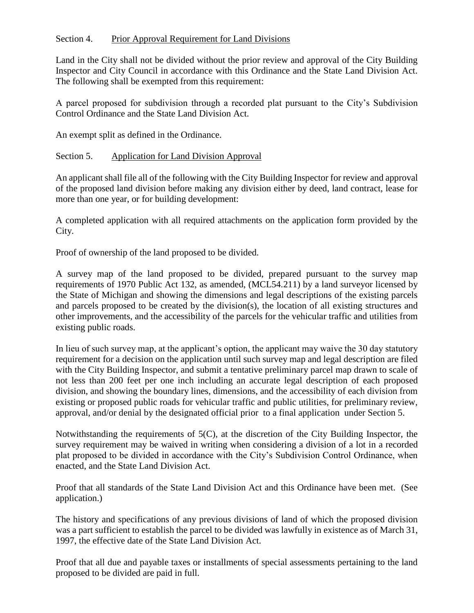# Section 4. Prior Approval Requirement for Land Divisions

Land in the City shall not be divided without the prior review and approval of the City Building Inspector and City Council in accordance with this Ordinance and the State Land Division Act. The following shall be exempted from this requirement:

A parcel proposed for subdivision through a recorded plat pursuant to the City's Subdivision Control Ordinance and the State Land Division Act.

An exempt split as defined in the Ordinance.

### Section 5. Application for Land Division Approval

An applicant shall file all of the following with the City Building Inspector for review and approval of the proposed land division before making any division either by deed, land contract, lease for more than one year, or for building development:

A completed application with all required attachments on the application form provided by the City.

Proof of ownership of the land proposed to be divided.

A survey map of the land proposed to be divided, prepared pursuant to the survey map requirements of 1970 Public Act 132, as amended, (MCL54.211) by a land surveyor licensed by the State of Michigan and showing the dimensions and legal descriptions of the existing parcels and parcels proposed to be created by the division(s), the location of all existing structures and other improvements, and the accessibility of the parcels for the vehicular traffic and utilities from existing public roads.

In lieu of such survey map, at the applicant's option, the applicant may waive the 30 day statutory requirement for a decision on the application until such survey map and legal description are filed with the City Building Inspector, and submit a tentative preliminary parcel map drawn to scale of not less than 200 feet per one inch including an accurate legal description of each proposed division, and showing the boundary lines, dimensions, and the accessibility of each division from existing or proposed public roads for vehicular traffic and public utilities, for preliminary review, approval, and/or denial by the designated official prior to a final application under Section 5.

Notwithstanding the requirements of 5(C), at the discretion of the City Building Inspector, the survey requirement may be waived in writing when considering a division of a lot in a recorded plat proposed to be divided in accordance with the City's Subdivision Control Ordinance, when enacted, and the State Land Division Act.

Proof that all standards of the State Land Division Act and this Ordinance have been met. (See application.)

The history and specifications of any previous divisions of land of which the proposed division was a part sufficient to establish the parcel to be divided was lawfully in existence as of March 31, 1997, the effective date of the State Land Division Act.

Proof that all due and payable taxes or installments of special assessments pertaining to the land proposed to be divided are paid in full.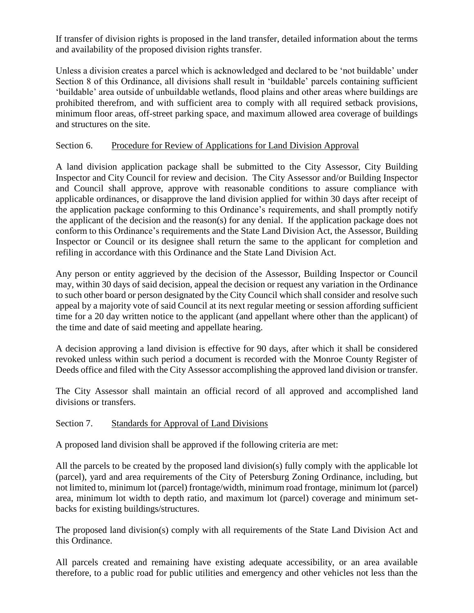If transfer of division rights is proposed in the land transfer, detailed information about the terms and availability of the proposed division rights transfer.

Unless a division creates a parcel which is acknowledged and declared to be 'not buildable' under Section 8 of this Ordinance, all divisions shall result in 'buildable' parcels containing sufficient 'buildable' area outside of unbuildable wetlands, flood plains and other areas where buildings are prohibited therefrom, and with sufficient area to comply with all required setback provisions, minimum floor areas, off-street parking space, and maximum allowed area coverage of buildings and structures on the site.

## Section 6. Procedure for Review of Applications for Land Division Approval

A land division application package shall be submitted to the City Assessor, City Building Inspector and City Council for review and decision. The City Assessor and/or Building Inspector and Council shall approve, approve with reasonable conditions to assure compliance with applicable ordinances, or disapprove the land division applied for within 30 days after receipt of the application package conforming to this Ordinance's requirements, and shall promptly notify the applicant of the decision and the reason(s) for any denial. If the application package does not conform to this Ordinance's requirements and the State Land Division Act, the Assessor, Building Inspector or Council or its designee shall return the same to the applicant for completion and refiling in accordance with this Ordinance and the State Land Division Act.

Any person or entity aggrieved by the decision of the Assessor, Building Inspector or Council may, within 30 days of said decision, appeal the decision or request any variation in the Ordinance to such other board or person designated by the City Council which shall consider and resolve such appeal by a majority vote of said Council at its next regular meeting or session affording sufficient time for a 20 day written notice to the applicant (and appellant where other than the applicant) of the time and date of said meeting and appellate hearing.

A decision approving a land division is effective for 90 days, after which it shall be considered revoked unless within such period a document is recorded with the Monroe County Register of Deeds office and filed with the City Assessor accomplishing the approved land division or transfer.

The City Assessor shall maintain an official record of all approved and accomplished land divisions or transfers.

### Section 7. Standards for Approval of Land Divisions

A proposed land division shall be approved if the following criteria are met:

All the parcels to be created by the proposed land division(s) fully comply with the applicable lot (parcel), yard and area requirements of the City of Petersburg Zoning Ordinance, including, but not limited to, minimum lot (parcel) frontage/width, minimum road frontage, minimum lot (parcel) area, minimum lot width to depth ratio, and maximum lot (parcel) coverage and minimum setbacks for existing buildings/structures.

The proposed land division(s) comply with all requirements of the State Land Division Act and this Ordinance.

All parcels created and remaining have existing adequate accessibility, or an area available therefore, to a public road for public utilities and emergency and other vehicles not less than the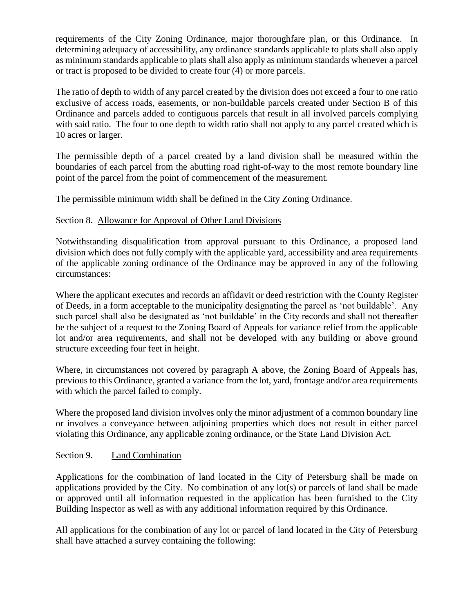requirements of the City Zoning Ordinance, major thoroughfare plan, or this Ordinance. In determining adequacy of accessibility, any ordinance standards applicable to plats shall also apply as minimum standards applicable to plats shall also apply as minimum standards whenever a parcel or tract is proposed to be divided to create four (4) or more parcels.

The ratio of depth to width of any parcel created by the division does not exceed a four to one ratio exclusive of access roads, easements, or non-buildable parcels created under Section B of this Ordinance and parcels added to contiguous parcels that result in all involved parcels complying with said ratio. The four to one depth to width ratio shall not apply to any parcel created which is 10 acres or larger.

The permissible depth of a parcel created by a land division shall be measured within the boundaries of each parcel from the abutting road right-of-way to the most remote boundary line point of the parcel from the point of commencement of the measurement.

The permissible minimum width shall be defined in the City Zoning Ordinance.

# Section 8. Allowance for Approval of Other Land Divisions

Notwithstanding disqualification from approval pursuant to this Ordinance, a proposed land division which does not fully comply with the applicable yard, accessibility and area requirements of the applicable zoning ordinance of the Ordinance may be approved in any of the following circumstances:

Where the applicant executes and records an affidavit or deed restriction with the County Register of Deeds, in a form acceptable to the municipality designating the parcel as 'not buildable'. Any such parcel shall also be designated as 'not buildable' in the City records and shall not thereafter be the subject of a request to the Zoning Board of Appeals for variance relief from the applicable lot and/or area requirements, and shall not be developed with any building or above ground structure exceeding four feet in height.

Where, in circumstances not covered by paragraph A above, the Zoning Board of Appeals has, previous to this Ordinance, granted a variance from the lot, yard, frontage and/or area requirements with which the parcel failed to comply.

Where the proposed land division involves only the minor adjustment of a common boundary line or involves a conveyance between adjoining properties which does not result in either parcel violating this Ordinance, any applicable zoning ordinance, or the State Land Division Act.

# Section 9. Land Combination

Applications for the combination of land located in the City of Petersburg shall be made on applications provided by the City. No combination of any lot(s) or parcels of land shall be made or approved until all information requested in the application has been furnished to the City Building Inspector as well as with any additional information required by this Ordinance.

All applications for the combination of any lot or parcel of land located in the City of Petersburg shall have attached a survey containing the following: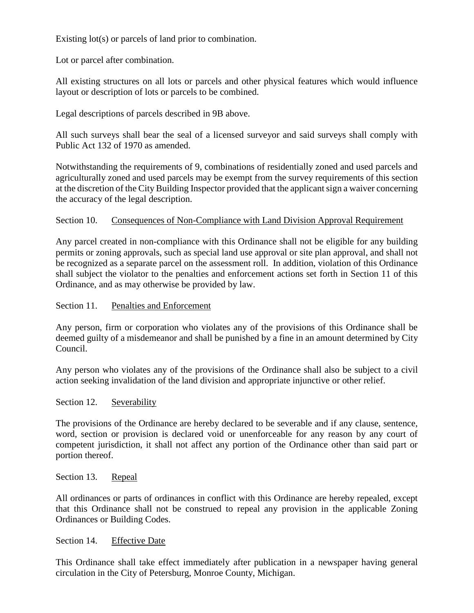Existing lot(s) or parcels of land prior to combination.

Lot or parcel after combination.

All existing structures on all lots or parcels and other physical features which would influence layout or description of lots or parcels to be combined.

Legal descriptions of parcels described in 9B above.

All such surveys shall bear the seal of a licensed surveyor and said surveys shall comply with Public Act 132 of 1970 as amended.

Notwithstanding the requirements of 9, combinations of residentially zoned and used parcels and agriculturally zoned and used parcels may be exempt from the survey requirements of this section at the discretion of the City Building Inspector provided that the applicant sign a waiver concerning the accuracy of the legal description.

### Section 10. Consequences of Non-Compliance with Land Division Approval Requirement

Any parcel created in non-compliance with this Ordinance shall not be eligible for any building permits or zoning approvals, such as special land use approval or site plan approval, and shall not be recognized as a separate parcel on the assessment roll. In addition, violation of this Ordinance shall subject the violator to the penalties and enforcement actions set forth in Section 11 of this Ordinance, and as may otherwise be provided by law.

### Section 11. Penalties and Enforcement

Any person, firm or corporation who violates any of the provisions of this Ordinance shall be deemed guilty of a misdemeanor and shall be punished by a fine in an amount determined by City Council.

Any person who violates any of the provisions of the Ordinance shall also be subject to a civil action seeking invalidation of the land division and appropriate injunctive or other relief.

### Section 12. Severability

The provisions of the Ordinance are hereby declared to be severable and if any clause, sentence, word, section or provision is declared void or unenforceable for any reason by any court of competent jurisdiction, it shall not affect any portion of the Ordinance other than said part or portion thereof.

Section 13. Repeal

All ordinances or parts of ordinances in conflict with this Ordinance are hereby repealed, except that this Ordinance shall not be construed to repeal any provision in the applicable Zoning Ordinances or Building Codes.

### Section 14. Effective Date

This Ordinance shall take effect immediately after publication in a newspaper having general circulation in the City of Petersburg, Monroe County, Michigan.